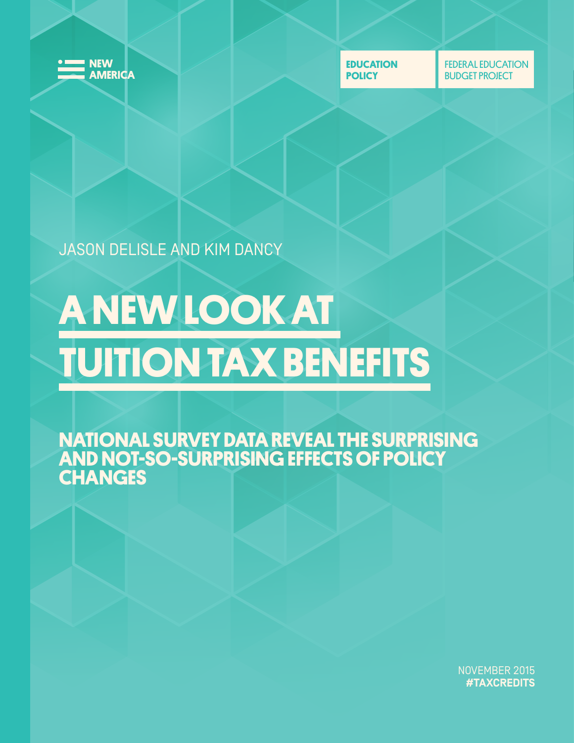

**EDUCATION POLICY**

FEDERAL EDUCATION BUDGET PROJECT

JASON DELISLE AND KIM DANCY

# **A NEW LOOK AT TUITION TAX BENEFITS**

**NATIONAL SURVEY DATA REVEAL THE SURPRISING AND NOT-SO-SURPRISING EFFECTS OF POLICY CHANGES**

> NOVEMBER 2015 **#TAXCREDITS**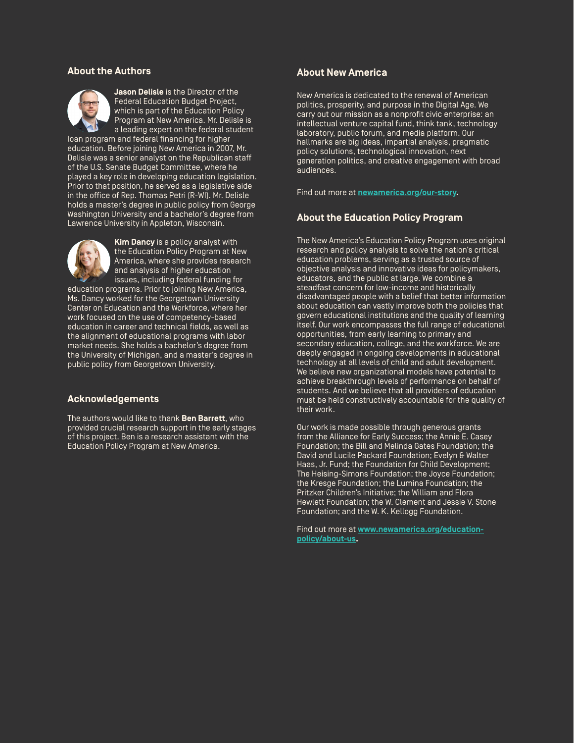#### **About the Authors**



**Jason Delisle** is the Director of the Federal Education Budget Project, which is part of the Education Policy Program at New America. Mr. Delisle is a leading expert on the federal student

loan program and federal financing for higher education. Before joining New America in 2007, Mr. Delisle was a senior analyst on the Republican staff of the U.S. Senate Budget Committee, where he played a key role in developing education legislation. Prior to that position, he served as a legislative aide in the office of Rep. Thomas Petri (R-WI). Mr. Delisle holds a master's degree in public policy from George Washington University and a bachelor's degree from Lawrence University in Appleton, Wisconsin.



**Kim Dancy** is a policy analyst with the Education Policy Program at New America, where she provides research and analysis of higher education issues, including federal funding for

education programs. Prior to joining New America, Ms. Dancy worked for the Georgetown University Center on Education and the Workforce, where her work focused on the use of competency-based education in career and technical fields, as well as the alignment of educational programs with labor market needs. She holds a bachelor's degree from the University of Michigan, and a master's degree in public policy from Georgetown University.

#### **Acknowledgements**

The authors would like to thank **Ben Barrett**, who provided crucial research support in the early stages of this project. Ben is a research assistant with the Education Policy Program at New America.

#### **About New America**

New America is dedicated to the renewal of American politics, prosperity, and purpose in the Digital Age. We carry out our mission as a nonprofit civic enterprise: an intellectual venture capital fund, think tank, technology laboratory, public forum, and media platform. Our hallmarks are big ideas, impartial analysis, pragmatic policy solutions, technological innovation, next generation politics, and creative engagement with broad audiences.

Find out more at **[newamerica.org/our-story.](https://www.newamerica.org/our-story/)**

#### **About the Education Policy Program**

The New America's Education Policy Program uses original research and policy analysis to solve the nation's critical education problems, serving as a trusted source of objective analysis and innovative ideas for policymakers, educators, and the public at large. We combine a steadfast concern for low-income and historically disadvantaged people with a belief that better information about education can vastly improve both the policies that govern educational institutions and the quality of learning itself. Our work encompasses the full range of educational opportunities, from early learning to primary and secondary education, college, and the workforce. We are deeply engaged in ongoing developments in educational technology at all levels of child and adult development. We believe new organizational models have potential to achieve breakthrough levels of performance on behalf of students. And we believe that all providers of education must be held constructively accountable for the quality of their work.

Our work is made possible through generous grants from the Alliance for Early Success; the Annie E. Casey Foundation; the Bill and Melinda Gates Foundation; the David and Lucile Packard Foundation; Evelyn & Walter Haas, Jr. Fund; the Foundation for Child Development; The Heising-Simons Foundation; the Joyce Foundation; the Kresge Foundation; the Lumina Foundation; the Pritzker Children's Initiative; the William and Flora Hewlett Foundation; the W. Clement and Jessie V. Stone Foundation; and the W. K. Kellogg Foundation.

Find out more at **[www.newamerica.org/education](http://www.newamerica.org/education-policy/about-us)[policy/about-us.](http://www.newamerica.org/education-policy/about-us)**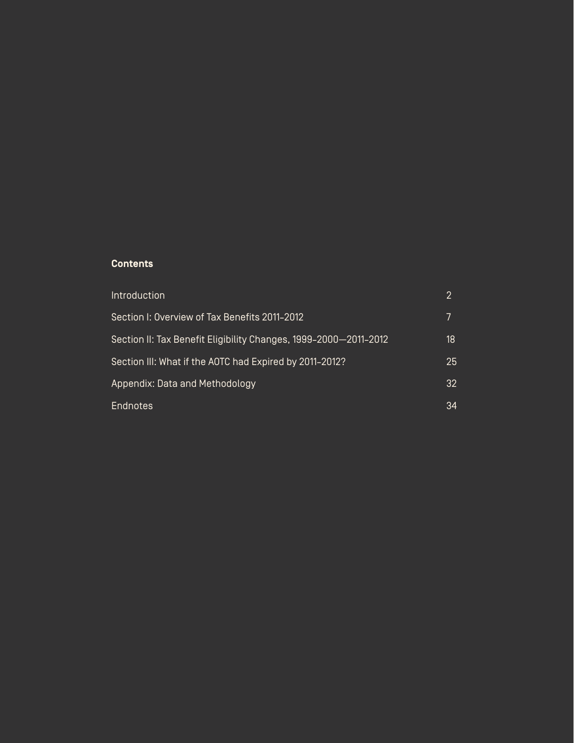### **Contents**

| Introduction                                                     |    |
|------------------------------------------------------------------|----|
| Section I: Overview of Tax Benefits 2011-2012                    |    |
| Section II: Tax Benefit Eligibility Changes, 1999-2000-2011-2012 | 18 |
| Section III: What if the AOTC had Expired by 2011-2012?          | 25 |
| Appendix: Data and Methodology                                   | 32 |
| <b>Endnotes</b>                                                  | 34 |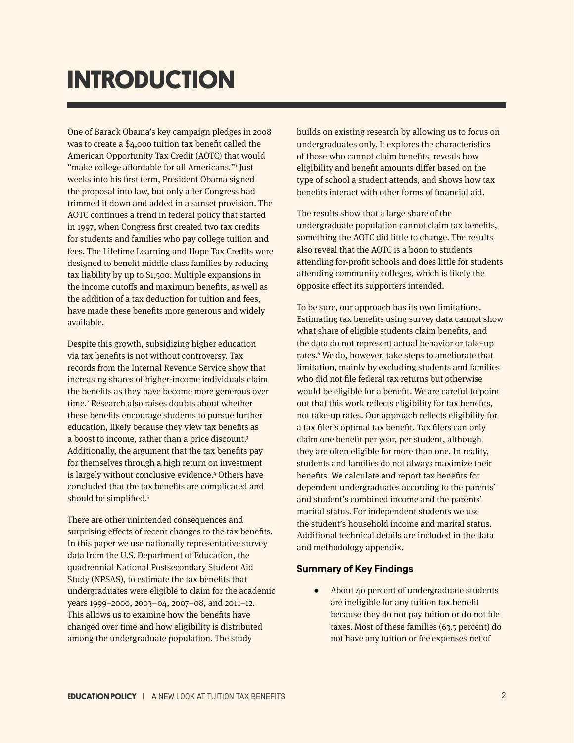# **INTRODUCTION**

One of Barack Obama's key campaign pledges in 2008 was to create a \$4,000 tuition tax benefit called the American Opportunity Tax Credit (AOTC) that would "make college affordable for all Americans."<sup>1</sup> Just weeks into his first term, President Obama signed the proposal into law, but only after Congress had trimmed it down and added in a sunset provision. The AOTC continues a trend in federal policy that started in 1997, when Congress first created two tax credits for students and families who pay college tuition and fees. The Lifetime Learning and Hope Tax Credits were designed to benefit middle class families by reducing tax liability by up to \$1,500. Multiple expansions in the income cutoffs and maximum benefits, as well as the addition of a tax deduction for tuition and fees, have made these benefits more generous and widely available.

Despite this growth, subsidizing higher education via tax benefits is not without controversy. Tax records from the Internal Revenue Service show that increasing shares of higher-income individuals claim the benefits as they have become more generous over time.<sup>2</sup> Research also raises doubts about whether these benefits encourage students to pursue further education, likely because they view tax benefits as a boost to income, rather than a price discount.<sup>3</sup> Additionally, the argument that the tax benefits pay for themselves through a high return on investment is largely without conclusive evidence.<sup>4</sup> Others have concluded that the tax benefits are complicated and should be simplified.<sup>5</sup>

There are other unintended consequences and surprising effects of recent changes to the tax benefits. In this paper we use nationally representative survey data from the U.S. Department of Education, the quadrennial National Postsecondary Student Aid Study (NPSAS), to estimate the tax benefits that undergraduates were eligible to claim for the academic years 1999–2000, 2003–04, 2007–08, and 2011–12. This allows us to examine how the benefits have changed over time and how eligibility is distributed among the undergraduate population. The study

builds on existing research by allowing us to focus on undergraduates only. It explores the characteristics of those who cannot claim benefits, reveals how eligibility and benefit amounts differ based on the type of school a student attends, and shows how tax benefits interact with other forms of financial aid.

The results show that a large share of the undergraduate population cannot claim tax benefits, something the AOTC did little to change. The results also reveal that the AOTC is a boon to students attending for-profit schools and does little for students attending community colleges, which is likely the opposite effect its supporters intended.

To be sure, our approach has its own limitations. Estimating tax benefits using survey data cannot show what share of eligible students claim benefits, and the data do not represent actual behavior or take-up rates.<sup>6</sup> We do, however, take steps to ameliorate that limitation, mainly by excluding students and families who did not file federal tax returns but otherwise would be eligible for a benefit. We are careful to point out that this work reflects eligibility for tax benefits, not take-up rates. Our approach reflects eligibility for a tax filer's optimal tax benefit. Tax filers can only claim one benefit per year, per student, although they are often eligible for more than one. In reality, students and families do not always maximize their benefits. We calculate and report tax benefits for dependent undergraduates according to the parents' and student's combined income and the parents' marital status. For independent students we use the student's household income and marital status. Additional technical details are included in the data and methodology appendix.

#### **Summary of Key Findings**

● About 40 percent of undergraduate students are ineligible for any tuition tax benefit because they do not pay tuition or do not file taxes. Most of these families (63.5 percent) do not have any tuition or fee expenses net of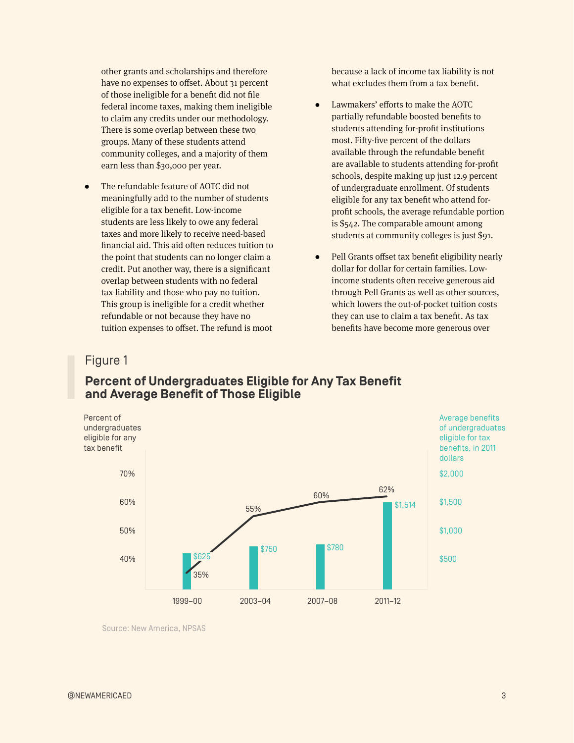other grants and scholarships and therefore have no expenses to offset. About 31 percent of those ineligible for a benefit did not file federal income taxes, making them ineligible to claim any credits under our methodology. There is some overlap between these two groups. Many of these students attend community colleges, and a majority of them earn less than \$30,000 per year.

The refundable feature of AOTC did not meaningfully add to the number of students eligible for a tax benefit. Low-income students are less likely to owe any federal taxes and more likely to receive need-based financial aid. This aid often reduces tuition to the point that students can no longer claim a credit. Put another way, there is a significant overlap between students with no federal tax liability and those who pay no tuition. This group is ineligible for a credit whether refundable or not because they have no tuition expenses to offset. The refund is moot

because a lack of income tax liability is not what excludes them from a tax benefit.

- ● Lawmakers' efforts to make the AOTC partially refundable boosted benefits to students attending for-profit institutions most. Fifty-five percent of the dollars available through the refundable benefit are available to students attending for-profit schools, despite making up just 12.9 percent of undergraduate enrollment. Of students eligible for any tax benefit who attend forprofit schools, the average refundable portion is \$542. The comparable amount among students at community colleges is just \$91.
- Pell Grants offset tax benefit eligibility nearly dollar for dollar for certain families. Lowincome students often receive generous aid through Pell Grants as well as other sources, which lowers the out-of-pocket tuition costs they can use to claim a tax benefit. As tax benefits have become more generous over

# Figure 1

# **Percent of Undergraduates Eligible for Any Tax Benefit and Average Benefit of Those Eligible**



Source: New America, NPSAS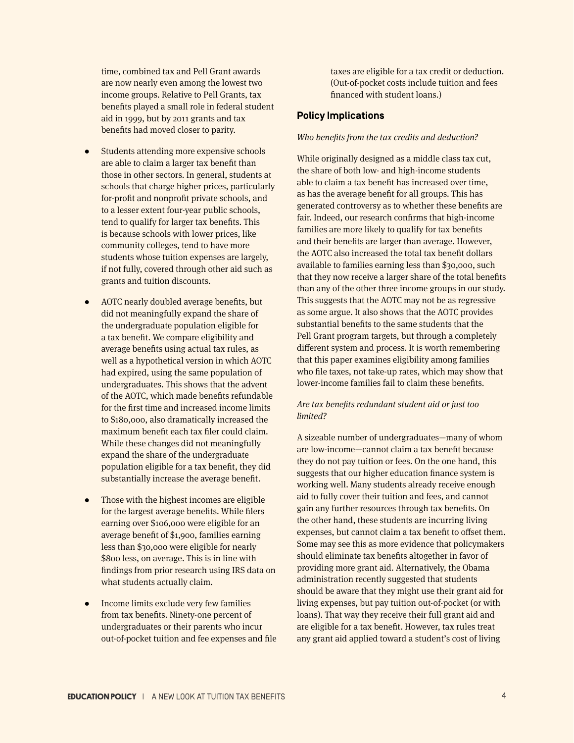time, combined tax and Pell Grant awards are now nearly even among the lowest two income groups. Relative to Pell Grants, tax benefits played a small role in federal student aid in 1999, but by 2011 grants and tax benefits had moved closer to parity.

- Students attending more expensive schools are able to claim a larger tax benefit than those in other sectors. In general, students at schools that charge higher prices, particularly for-profit and nonprofit private schools, and to a lesser extent four-year public schools, tend to qualify for larger tax benefits. This is because schools with lower prices, like community colleges, tend to have more students whose tuition expenses are largely, if not fully, covered through other aid such as grants and tuition discounts.
- AOTC nearly doubled average benefits, but did not meaningfully expand the share of the undergraduate population eligible for a tax benefit. We compare eligibility and average benefits using actual tax rules, as well as a hypothetical version in which AOTC had expired, using the same population of undergraduates. This shows that the advent of the AOTC, which made benefits refundable for the first time and increased income limits to \$180,000, also dramatically increased the maximum benefit each tax filer could claim. While these changes did not meaningfully expand the share of the undergraduate population eligible for a tax benefit, they did substantially increase the average benefit.
- Those with the highest incomes are eligible for the largest average benefits. While filers earning over \$106,000 were eligible for an average benefit of \$1,900, families earning less than \$30,000 were eligible for nearly \$800 less, on average. This is in line with findings from prior research using IRS data on what students actually claim.
- ● Income limits exclude very few families from tax benefits. Ninety-one percent of undergraduates or their parents who incur out-of-pocket tuition and fee expenses and file

taxes are eligible for a tax credit or deduction. (Out-of-pocket costs include tuition and fees financed with student loans.)

#### **Policy Implications**

#### *Who benefits from the tax credits and deduction?*

While originally designed as a middle class tax cut, the share of both low- and high-income students able to claim a tax benefit has increased over time, as has the average benefit for all groups. This has generated controversy as to whether these benefits are fair. Indeed, our research confirms that high-income families are more likely to qualify for tax benefits and their benefits are larger than average. However, the AOTC also increased the total tax benefit dollars available to families earning less than \$30,000, such that they now receive a larger share of the total benefits than any of the other three income groups in our study. This suggests that the AOTC may not be as regressive as some argue. It also shows that the AOTC provides substantial benefits to the same students that the Pell Grant program targets, but through a completely different system and process. It is worth remembering that this paper examines eligibility among families who file taxes, not take-up rates, which may show that lower-income families fail to claim these benefits.

#### *Are tax benefits redundant student aid or just too limited?*

A sizeable number of undergraduates—many of whom are low-income—cannot claim a tax benefit because they do not pay tuition or fees. On the one hand, this suggests that our higher education finance system is working well. Many students already receive enough aid to fully cover their tuition and fees, and cannot gain any further resources through tax benefits. On the other hand, these students are incurring living expenses, but cannot claim a tax benefit to offset them. Some may see this as more evidence that policymakers should eliminate tax benefits altogether in favor of providing more grant aid. Alternatively, the Obama administration recently suggested that students should be aware that they might use their grant aid for living expenses, but pay tuition out-of-pocket (or with loans). That way they receive their full grant aid and are eligible for a tax benefit. However, tax rules treat any grant aid applied toward a student's cost of living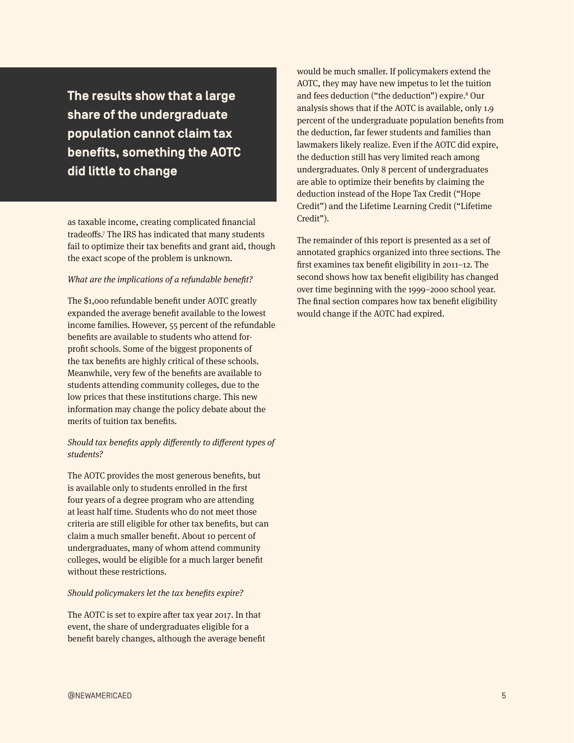**The results show that a large share of the undergraduate population cannot claim tax benefits, something the AOTC did little to change**

as taxable income, creating complicated financial tradeoffs.7 The IRS has indicated that many students fail to optimize their tax benefits and grant aid, though the exact scope of the problem is unknown.

#### *What are the implications of a refundable benefit?*

The \$1,000 refundable benefit under AOTC greatly expanded the average benefit available to the lowest income families. However, 55 percent of the refundable benefits are available to students who attend forprofit schools. Some of the biggest proponents of the tax benefits are highly critical of these schools. Meanwhile, very few of the benefits are available to students attending community colleges, due to the low prices that these institutions charge. This new information may change the policy debate about the merits of tuition tax benefits.

#### *Should tax benefits apply differently to different types of students?*

The AOTC provides the most generous benefits, but is available only to students enrolled in the first four years of a degree program who are attending at least half time. Students who do not meet those criteria are still eligible for other tax benefits, but can claim a much smaller benefit. About 10 percent of undergraduates, many of whom attend community colleges, would be eligible for a much larger benefit without these restrictions.

#### *Should policymakers let the tax benefits expire?*

The AOTC is set to expire after tax year 2017. In that event, the share of undergraduates eligible for a benefit barely changes, although the average benefit

would be much smaller. If policymakers extend the AOTC, they may have new impetus to let the tuition and fees deduction ("the deduction") expire.<sup>8</sup> Our analysis shows that if the AOTC is available, only 1.9 percent of the undergraduate population benefits from the deduction, far fewer students and families than lawmakers likely realize. Even if the AOTC did expire, the deduction still has very limited reach among undergraduates. Only 8 percent of undergraduates are able to optimize their benefits by claiming the deduction instead of the Hope Tax Credit ("Hope Credit") and the Lifetime Learning Credit ("Lifetime Credit").

The remainder of this report is presented as a set of annotated graphics organized into three sections. The first examines tax benefit eligibility in 2011–12. The second shows how tax benefit eligibility has changed over time beginning with the 1999–2000 school year. The final section compares how tax benefit eligibility would change if the AOTC had expired.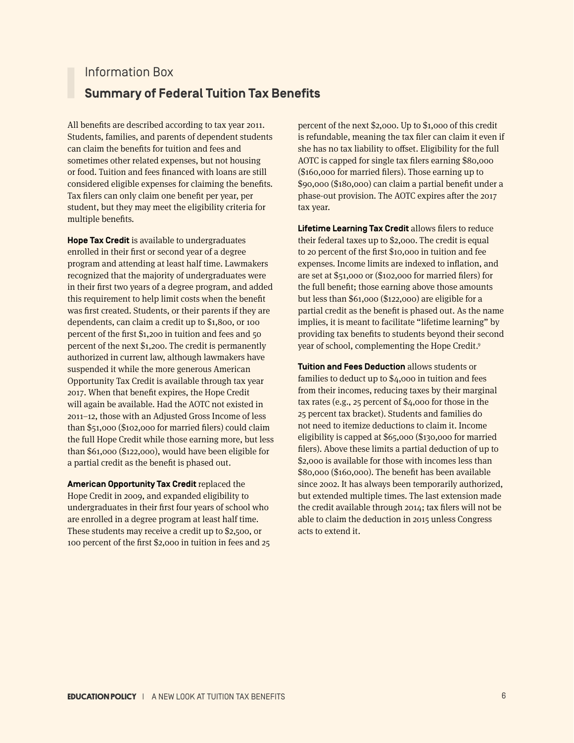# Information Box **Summary of Federal Tuition Tax Benefits**

All benefits are described according to tax year 2011. Students, families, and parents of dependent students can claim the benefits for tuition and fees and sometimes other related expenses, but not housing or food. Tuition and fees financed with loans are still considered eligible expenses for claiming the benefits. Tax filers can only claim one benefit per year, per student, but they may meet the eligibility criteria for multiple benefits.

**Hope Tax Credit** is available to undergraduates enrolled in their first or second year of a degree program and attending at least half time. Lawmakers recognized that the majority of undergraduates were in their first two years of a degree program, and added this requirement to help limit costs when the benefit was first created. Students, or their parents if they are dependents, can claim a credit up to \$1,800, or 100 percent of the first \$1,200 in tuition and fees and 50 percent of the next \$1,200. The credit is permanently authorized in current law, although lawmakers have suspended it while the more generous American Opportunity Tax Credit is available through tax year 2017. When that benefit expires, the Hope Credit will again be available. Had the AOTC not existed in 2011–12, those with an Adjusted Gross Income of less than \$51,000 (\$102,000 for married filers) could claim the full Hope Credit while those earning more, but less than \$61,000 (\$122,000), would have been eligible for a partial credit as the benefit is phased out.

**American Opportunity Tax Credit** replaced the Hope Credit in 2009, and expanded eligibility to undergraduates in their first four years of school who are enrolled in a degree program at least half time. These students may receive a credit up to \$2,500, or 100 percent of the first \$2,000 in tuition in fees and 25

percent of the next \$2,000. Up to \$1,000 of this credit is refundable, meaning the tax filer can claim it even if she has no tax liability to offset. Eligibility for the full AOTC is capped for single tax filers earning \$80,000 (\$160,000 for married filers). Those earning up to \$90,000 (\$180,000) can claim a partial benefit under a phase-out provision. The AOTC expires after the 2017 tax year.

**Lifetime Learning Tax Credit** allows filers to reduce their federal taxes up to \$2,000. The credit is equal to 20 percent of the first \$10,000 in tuition and fee expenses. Income limits are indexed to inflation, and are set at \$51,000 or (\$102,000 for married filers) for the full benefit; those earning above those amounts but less than \$61,000 (\$122,000) are eligible for a partial credit as the benefit is phased out. As the name implies, it is meant to facilitate "lifetime learning" by providing tax benefits to students beyond their second year of school, complementing the Hope Credit.<sup>9</sup>

**Tuition and Fees Deduction** allows students or families to deduct up to \$4,000 in tuition and fees from their incomes, reducing taxes by their marginal tax rates (e.g., 25 percent of \$4,000 for those in the 25 percent tax bracket). Students and families do not need to itemize deductions to claim it. Income eligibility is capped at \$65,000 (\$130,000 for married filers). Above these limits a partial deduction of up to \$2,000 is available for those with incomes less than \$80,000 (\$160,000). The benefit has been available since 2002. It has always been temporarily authorized, but extended multiple times. The last extension made the credit available through 2014; tax filers will not be able to claim the deduction in 2015 unless Congress acts to extend it.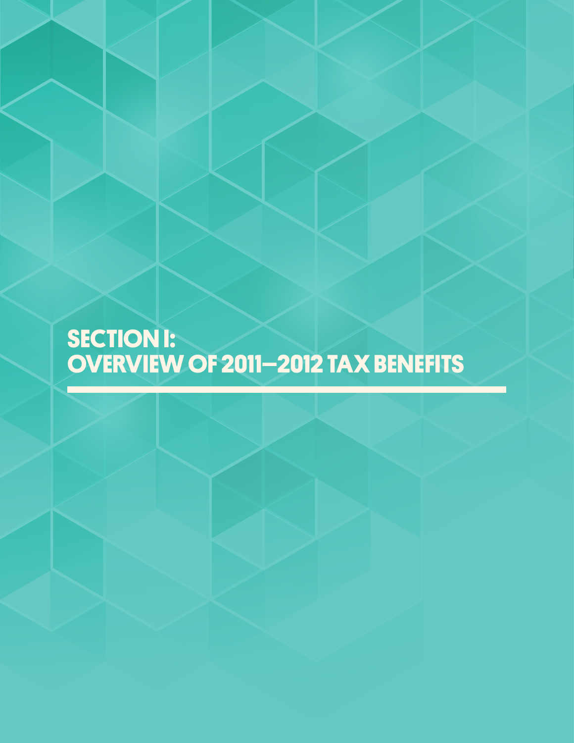# **SECTION I: OVERVIEW OF 2011–2012 TAX BENEFITS**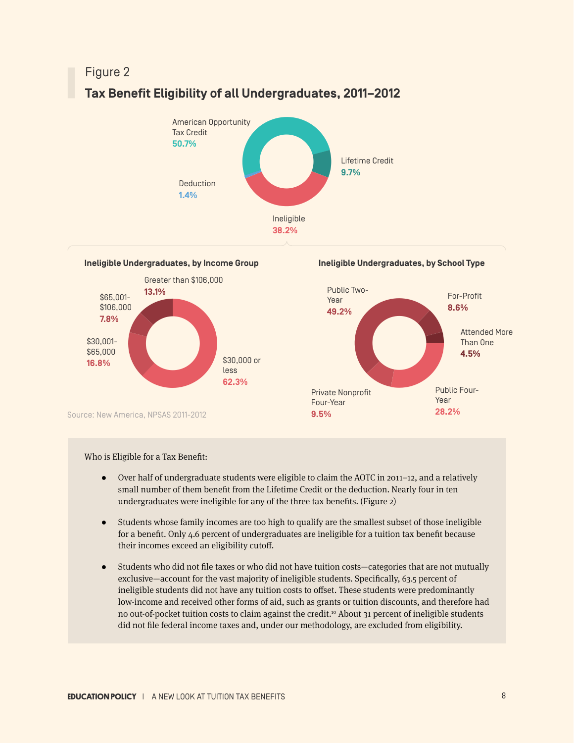# **Tax Benefit Eligibility of all Undergraduates, 2011–2012**



**Ineligible Undergraduates, by Income Group**



**Ineligible Undergraduates, by School Type**



Who is Eligible for a Tax Benefit:

- Over half of undergraduate students were eligible to claim the AOTC in 2011–12, and a relatively small number of them benefit from the Lifetime Credit or the deduction. Nearly four in ten undergraduates were ineligible for any of the three tax benefits. (Figure 2)
- ● Students whose family incomes are too high to qualify are the smallest subset of those ineligible for a benefit. Only 4.6 percent of undergraduates are ineligible for a tuition tax benefit because their incomes exceed an eligibility cutoff.
- ● Students who did not file taxes or who did not have tuition costs—categories that are not mutually exclusive—account for the vast majority of ineligible students. Specifically, 63.5 percent of ineligible students did not have any tuition costs to offset. These students were predominantly low-income and received other forms of aid, such as grants or tuition discounts, and therefore had no out-of-pocket tuition costs to claim against the credit.<sup>10</sup> About 31 percent of ineligible students did not file federal income taxes and, under our methodology, are excluded from eligibility.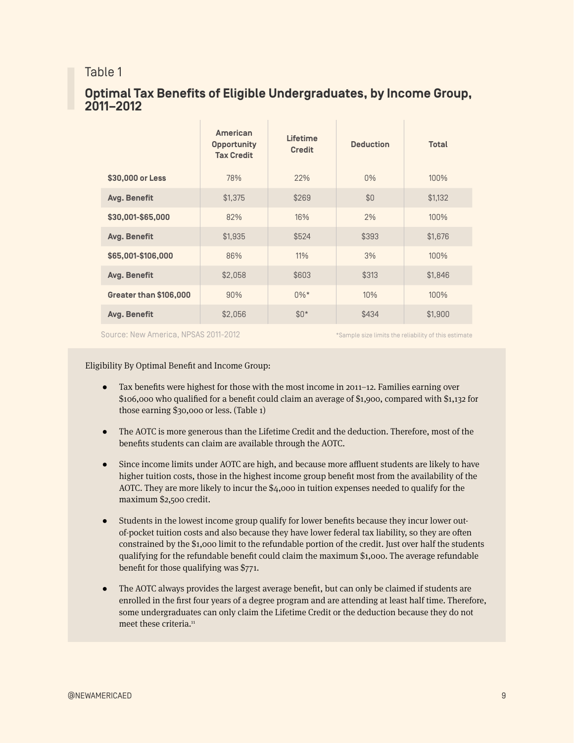## Table 1

# **Optimal Tax Benefits of Eligible Undergraduates, by Income Group, 2011–2012**

|                        | <b>American</b><br><b>Opportunity</b><br><b>Tax Credit</b> | <b>Lifetime</b><br><b>Credit</b> | <b>Deduction</b> | <b>Total</b> |
|------------------------|------------------------------------------------------------|----------------------------------|------------------|--------------|
| \$30,000 or Less       | 78%                                                        | 22%                              | $0\%$            | 100%         |
| Avg. Benefit           | \$1.375                                                    | \$269                            | \$0              | \$1,132      |
| \$30,001-\$65,000      | 82%                                                        | 16%                              | 2%               | 100%         |
| Avg. Benefit           | \$1.935                                                    | \$524                            | \$393            | \$1,676      |
| \$65,001-\$106,000     | 86%                                                        | 11%                              | 3%               | 100%         |
| Avg. Benefit           | \$2,058                                                    | \$603                            | \$313            | \$1,846      |
| Greater than \$106,000 | 90%                                                        | $0\%*$                           | 10%              | 100%         |
| Avg. Benefit           | \$2,056                                                    | $$0*$                            | \$434            | \$1,900      |

Source: New America, NPSAS 2011-2012 **\***Sample size limits the reliability of this estimate

Eligibility By Optimal Benefit and Income Group:

- Tax benefits were highest for those with the most income in 2011–12. Families earning over \$106,000 who qualified for a benefit could claim an average of \$1,900, compared with \$1,132 for those earning \$30,000 or less. (Table 1)
- The AOTC is more generous than the Lifetime Credit and the deduction. Therefore, most of the benefits students can claim are available through the AOTC.
- Since income limits under AOTC are high, and because more affluent students are likely to have higher tuition costs, those in the highest income group benefit most from the availability of the AOTC. They are more likely to incur the \$4,000 in tuition expenses needed to qualify for the maximum \$2,500 credit.
- ● Students in the lowest income group qualify for lower benefits because they incur lower outof-pocket tuition costs and also because they have lower federal tax liability, so they are often constrained by the \$1,000 limit to the refundable portion of the credit. Just over half the students qualifying for the refundable benefit could claim the maximum \$1,000. The average refundable benefit for those qualifying was \$771.
- The AOTC always provides the largest average benefit, but can only be claimed if students are enrolled in the first four years of a degree program and are attending at least half time. Therefore, some undergraduates can only claim the Lifetime Credit or the deduction because they do not meet these criteria.<sup>11</sup>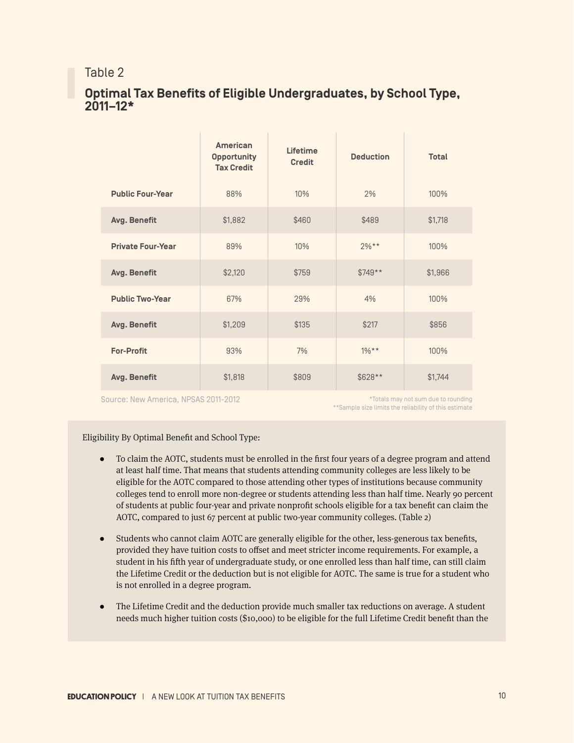## Table 2

# **Optimal Tax Benefits of Eligible Undergraduates, by School Type, 2011–12\***

|                          | American<br><b>Opportunity</b><br><b>Tax Credit</b> | Lifetime<br><b>Credit</b> | <b>Deduction</b> | <b>Total</b> |
|--------------------------|-----------------------------------------------------|---------------------------|------------------|--------------|
| <b>Public Four-Year</b>  | 88%                                                 | 10%                       | 2%               | 100%         |
| Avg. Benefit             | \$1,882                                             | \$460                     | \$489            | \$1,718      |
| <b>Private Four-Year</b> | 89%                                                 | 10%                       | $2\%**$          | 100%         |
| Avg. Benefit             | \$2,120                                             | \$759                     | $$749**$         | \$1,966      |
| <b>Public Two-Year</b>   | 67%                                                 | 29%                       | 4%               | 100%         |
| Avg. Benefit             | \$1,209                                             | \$135                     | \$217            | \$856        |
| <b>For-Profit</b>        | 93%                                                 | 7%                        | $1\%**$          | 100%         |
| Avg. Benefit             | \$1,818                                             | \$809                     | \$628**          | \$1,744      |

Source: New America, NPSAS 2011-2012

\*\*Sample size limits the reliability of this estimate \*Totals may not sum due to rounding

#### Eligibility By Optimal Benefit and School Type:

- ● To claim the AOTC, students must be enrolled in the first four years of a degree program and attend at least half time. That means that students attending community colleges are less likely to be eligible for the AOTC compared to those attending other types of institutions because community colleges tend to enroll more non-degree or students attending less than half time. Nearly 90 percent of students at public four-year and private nonprofit schools eligible for a tax benefit can claim the AOTC, compared to just 67 percent at public two-year community colleges. (Table 2)
- ● Students who cannot claim AOTC are generally eligible for the other, less-generous tax benefits, provided they have tuition costs to offset and meet stricter income requirements. For example, a student in his fifth year of undergraduate study, or one enrolled less than half time, can still claim the Lifetime Credit or the deduction but is not eligible for AOTC. The same is true for a student who is not enrolled in a degree program.
- The Lifetime Credit and the deduction provide much smaller tax reductions on average. A student needs much higher tuition costs (\$10,000) to be eligible for the full Lifetime Credit benefit than the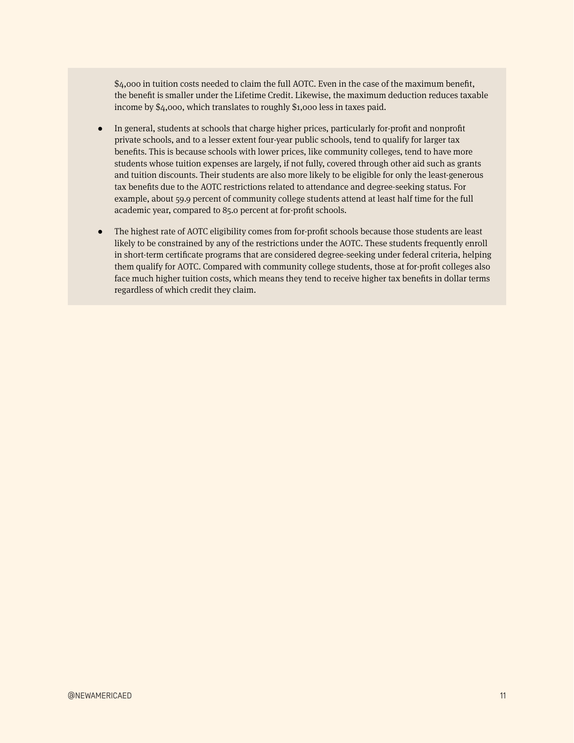\$4,000 in tuition costs needed to claim the full AOTC. Even in the case of the maximum benefit, the benefit is smaller under the Lifetime Credit. Likewise, the maximum deduction reduces taxable income by \$4,000, which translates to roughly \$1,000 less in taxes paid.

- In general, students at schools that charge higher prices, particularly for-profit and nonprofit private schools, and to a lesser extent four-year public schools, tend to qualify for larger tax benefits. This is because schools with lower prices, like community colleges, tend to have more students whose tuition expenses are largely, if not fully, covered through other aid such as grants and tuition discounts. Their students are also more likely to be eligible for only the least-generous tax benefits due to the AOTC restrictions related to attendance and degree-seeking status. For example, about 59.9 percent of community college students attend at least half time for the full academic year, compared to 85.0 percent at for-profit schools.
- The highest rate of AOTC eligibility comes from for-profit schools because those students are least likely to be constrained by any of the restrictions under the AOTC. These students frequently enroll in short-term certificate programs that are considered degree-seeking under federal criteria, helping them qualify for AOTC. Compared with community college students, those at for-profit colleges also face much higher tuition costs, which means they tend to receive higher tax benefits in dollar terms regardless of which credit they claim.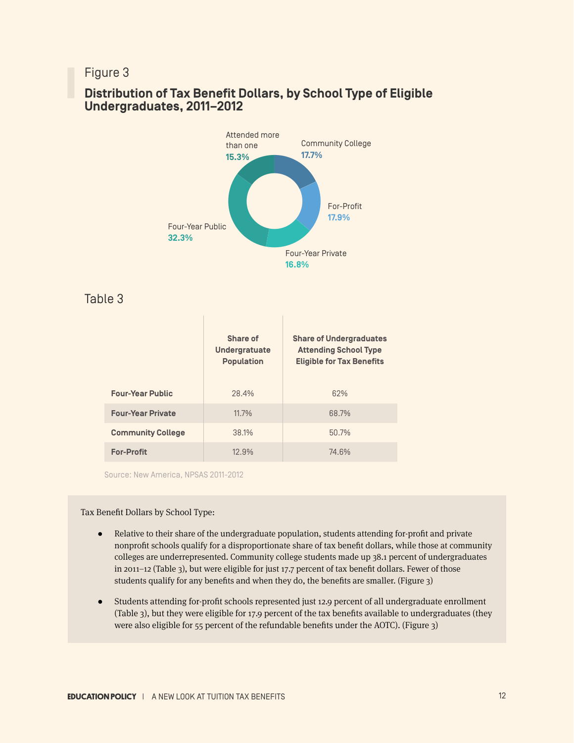

# **Distribution of Tax Benefit Dollars, by School Type of Eligible Undergraduates, 2011–2012**

Table 3

|                          | Share of<br><b>Undergratuate</b><br><b>Population</b> | <b>Share of Undergraduates</b><br><b>Attending School Type</b><br><b>Eligible for Tax Benefits</b> |
|--------------------------|-------------------------------------------------------|----------------------------------------------------------------------------------------------------|
| <b>Four-Year Public</b>  | 28.4%                                                 | 62%                                                                                                |
| <b>Four-Year Private</b> | 11.7%                                                 | 68.7%                                                                                              |
| <b>Community College</b> | 38.1%                                                 | 50.7%                                                                                              |
| <b>For-Profit</b>        | 12.9%                                                 | 74.6%                                                                                              |

Source: New America, NPSAS 2011-2012

Tax Benefit Dollars by School Type:

- ● Relative to their share of the undergraduate population, students attending for-profit and private nonprofit schools qualify for a disproportionate share of tax benefit dollars, while those at community colleges are underrepresented. Community college students made up 38.1 percent of undergraduates in 2011–12 (Table 3), but were eligible for just 17.7 percent of tax benefit dollars. Fewer of those students qualify for any benefits and when they do, the benefits are smaller. (Figure 3)
- Students attending for-profit schools represented just 12.9 percent of all undergraduate enrollment (Table 3), but they were eligible for 17.9 percent of the tax benefits available to undergraduates (they were also eligible for 55 percent of the refundable benefits under the AOTC). (Figure 3)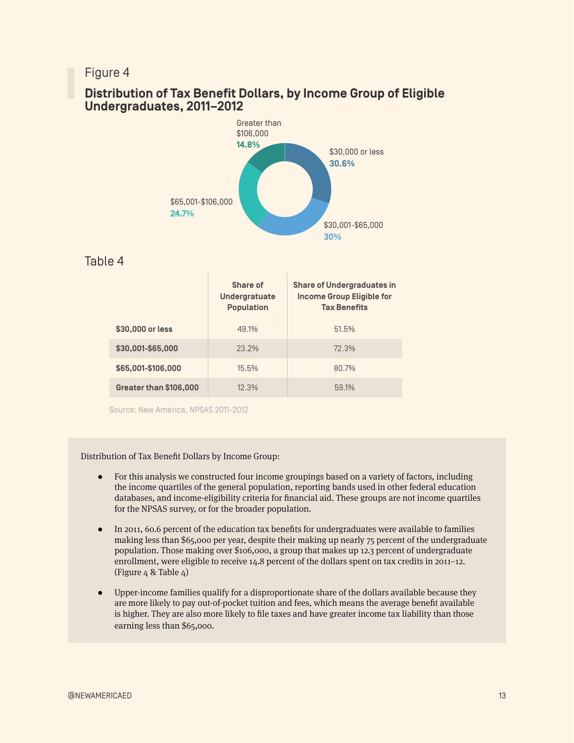# **Distribution of Tax Benefit Dollars, by Income Group of Eligible Undergraduates, 2011–2012**



### Table 4

|                        | Share of<br><b>Undergratuate</b><br><b>Population</b> | <b>Share of Undergraduates in</b><br><b>Income Group Eligible for</b><br><b>Tax Benefits</b> |
|------------------------|-------------------------------------------------------|----------------------------------------------------------------------------------------------|
| \$30,000 or less       | 49.1%                                                 | 51.5%                                                                                        |
| \$30,001-\$65,000      | 23.2%                                                 | 72.3%                                                                                        |
| \$65,001-\$106,000     | 15.5%                                                 | 80.7%                                                                                        |
| Greater than \$106,000 | 12.3%                                                 | 59.1%                                                                                        |

Source: New America, NPSAS 2011-2012

Distribution of Tax Benefit Dollars by Income Group:

- For this analysis we constructed four income groupings based on a variety of factors, including the income quartiles of the general population, reporting bands used in other federal education databases, and income-eligibility criteria for financial aid. These groups are not income quartiles for the NPSAS survey, or for the broader population.
- ● In 2011, 60.6 percent of the education tax benefits for undergraduates were available to families making less than \$65,000 per year, despite their making up nearly 75 percent of the undergraduate population. Those making over \$106,000, a group that makes up 12.3 percent of undergraduate enrollment, were eligible to receive 14.8 percent of the dollars spent on tax credits in 2011–12. (Figure 4 & Table 4)
- Upper-income families qualify for a disproportionate share of the dollars available because they are more likely to pay out-of-pocket tuition and fees, which means the average benefit available is higher. They are also more likely to file taxes and have greater income tax liability than those earning less than \$65,000.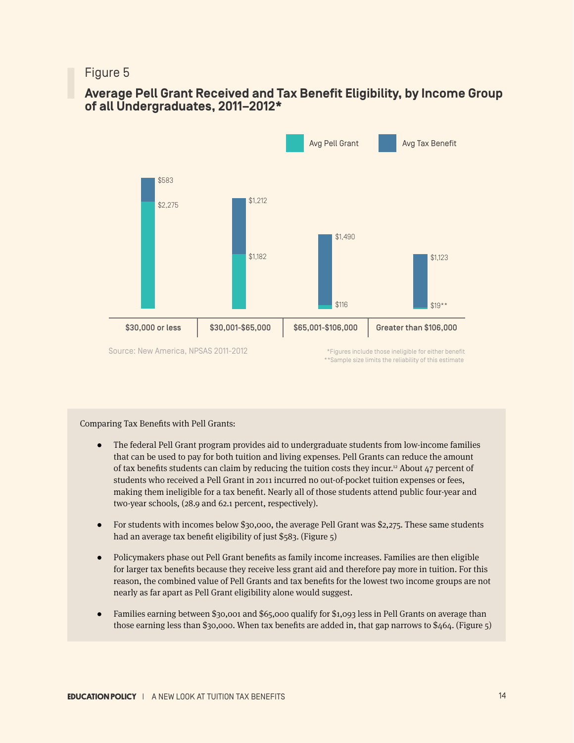# **Average Pell Grant Received and Tax Benefit Eligibility, by Income Group of all Undergraduates, 2011–2012\***



#### Comparing Tax Benefits with Pell Grants:

- The federal Pell Grant program provides aid to undergraduate students from low-income families that can be used to pay for both tuition and living expenses. Pell Grants can reduce the amount of tax benefits students can claim by reducing the tuition costs they incur.12 About 47 percent of students who received a Pell Grant in 2011 incurred no out-of-pocket tuition expenses or fees, making them ineligible for a tax benefit. Nearly all of those students attend public four-year and two-year schools, (28.9 and 62.1 percent, respectively).
- For students with incomes below \$30,000, the average Pell Grant was \$2,275. These same students had an average tax benefit eligibility of just \$583. (Figure 5)
- ● Policymakers phase out Pell Grant benefits as family income increases. Families are then eligible for larger tax benefits because they receive less grant aid and therefore pay more in tuition. For this reason, the combined value of Pell Grants and tax benefits for the lowest two income groups are not nearly as far apart as Pell Grant eligibility alone would suggest.
- Families earning between \$30,001 and \$65,000 qualify for \$1,093 less in Pell Grants on average than those earning less than \$30,000. When tax benefits are added in, that gap narrows to \$464. (Figure 5)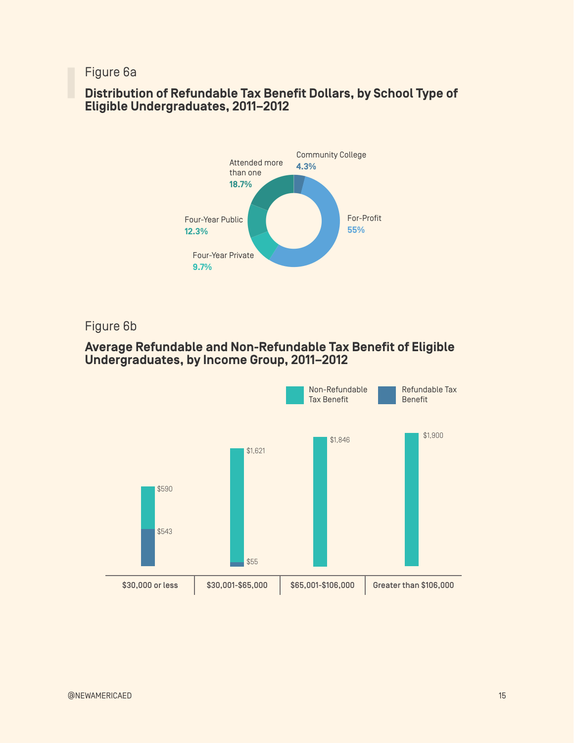Figure 6a

# **Distribution of Refundable Tax Benefit Dollars, by School Type of Eligible Undergraduates, 2011–2012**



Figure 6b

# **Average Refundable and Non-Refundable Tax Benefit of Eligible Undergraduates, by Income Group, 2011–2012**

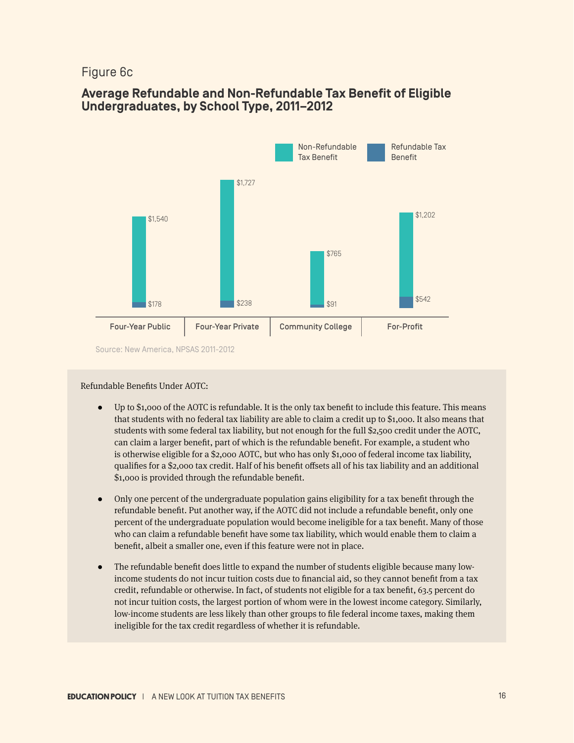## Figure 6c

# **Average Refundable and Non-Refundable Tax Benefit of Eligible Undergraduates, by School Type, 2011–2012**



Source: New America, NPSAS 2011-2012

#### Refundable Benefits Under AOTC:

- Up to  $$1,000$  of the AOTC is refundable. It is the only tax benefit to include this feature. This means that students with no federal tax liability are able to claim a credit up to \$1,000. It also means that students with some federal tax liability, but not enough for the full \$2,500 credit under the AOTC, can claim a larger benefit, part of which is the refundable benefit. For example, a student who is otherwise eligible for a \$2,000 AOTC, but who has only \$1,000 of federal income tax liability, qualifies for a \$2,000 tax credit. Half of his benefit offsets all of his tax liability and an additional \$1,000 is provided through the refundable benefit.
- Only one percent of the undergraduate population gains eligibility for a tax benefit through the refundable benefit. Put another way, if the AOTC did not include a refundable benefit, only one percent of the undergraduate population would become ineligible for a tax benefit. Many of those who can claim a refundable benefit have some tax liability, which would enable them to claim a benefit, albeit a smaller one, even if this feature were not in place.
- The refundable benefit does little to expand the number of students eligible because many lowincome students do not incur tuition costs due to financial aid, so they cannot benefit from a tax credit, refundable or otherwise. In fact, of students not eligible for a tax benefit, 63.5 percent do not incur tuition costs, the largest portion of whom were in the lowest income category. Similarly, low-income students are less likely than other groups to file federal income taxes, making them ineligible for the tax credit regardless of whether it is refundable.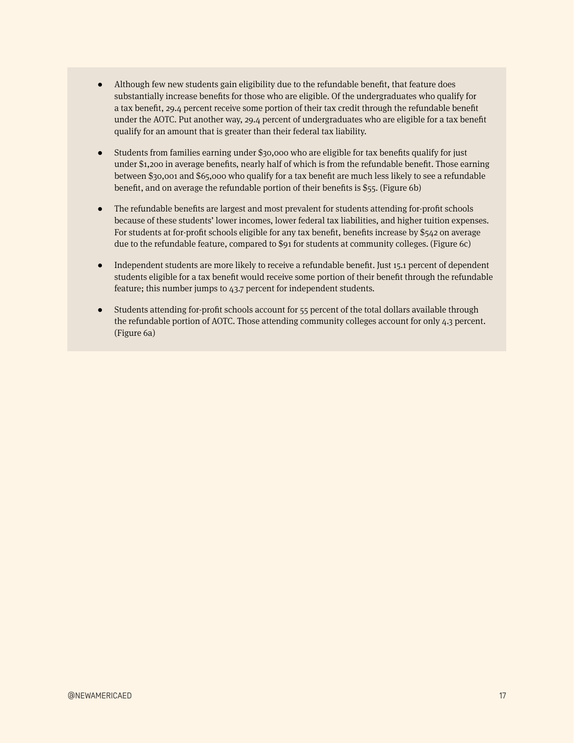- Although few new students gain eligibility due to the refundable benefit, that feature does substantially increase benefits for those who are eligible. Of the undergraduates who qualify for a tax benefit, 29.4 percent receive some portion of their tax credit through the refundable benefit under the AOTC. Put another way, 29.4 percent of undergraduates who are eligible for a tax benefit qualify for an amount that is greater than their federal tax liability.
- Students from families earning under \$30,000 who are eligible for tax benefits qualify for just under \$1,200 in average benefits, nearly half of which is from the refundable benefit. Those earning between \$30,001 and \$65,000 who qualify for a tax benefit are much less likely to see a refundable benefit, and on average the refundable portion of their benefits is \$55. (Figure 6b)
- The refundable benefits are largest and most prevalent for students attending for-profit schools because of these students' lower incomes, lower federal tax liabilities, and higher tuition expenses. For students at for-profit schools eligible for any tax benefit, benefits increase by \$542 on average due to the refundable feature, compared to \$91 for students at community colleges. (Figure 6c)
- Independent students are more likely to receive a refundable benefit. Just 15.1 percent of dependent students eligible for a tax benefit would receive some portion of their benefit through the refundable feature; this number jumps to 43.7 percent for independent students.
- Students attending for-profit schools account for 55 percent of the total dollars available through the refundable portion of AOTC. Those attending community colleges account for only 4.3 percent. (Figure 6a)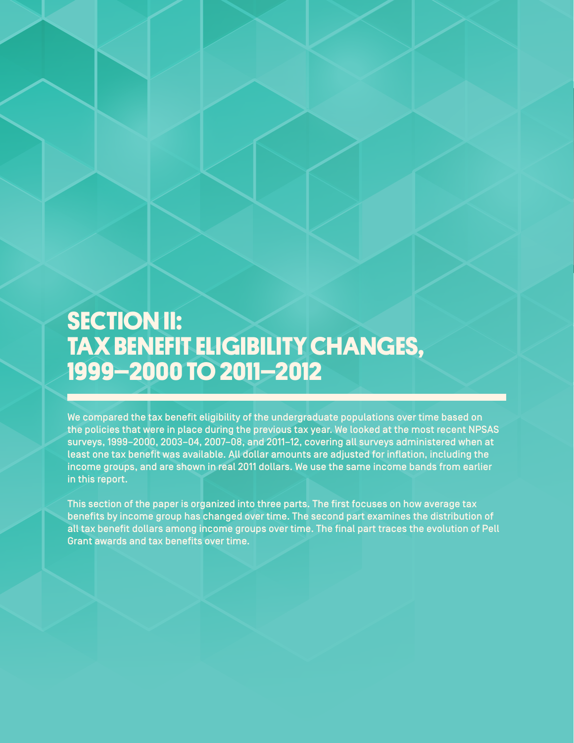# **SECTION II: TAX BENEFIT ELIGIBILITY CHANGES, 1999–2000 TO 2011–2012**

We compared the tax benefit eligibility of the undergraduate populations over time based on the policies that were in place during the previous tax year. We looked at the most recent NPSAS surveys, 1999–2000, 2003–04, 2007–08, and 2011–12, covering all surveys administered when at least one tax benefit was available. All dollar amounts are adjusted for inflation, including the income groups, and are shown in real 2011 dollars. We use the same income bands from earlier in this report.

This section of the paper is organized into three parts. The first focuses on how average tax benefits by income group has changed over time. The second part examines the distribution of all tax benefit dollars among income groups over time. The final part traces the evolution of Pell Grant awards and tax benefits over time.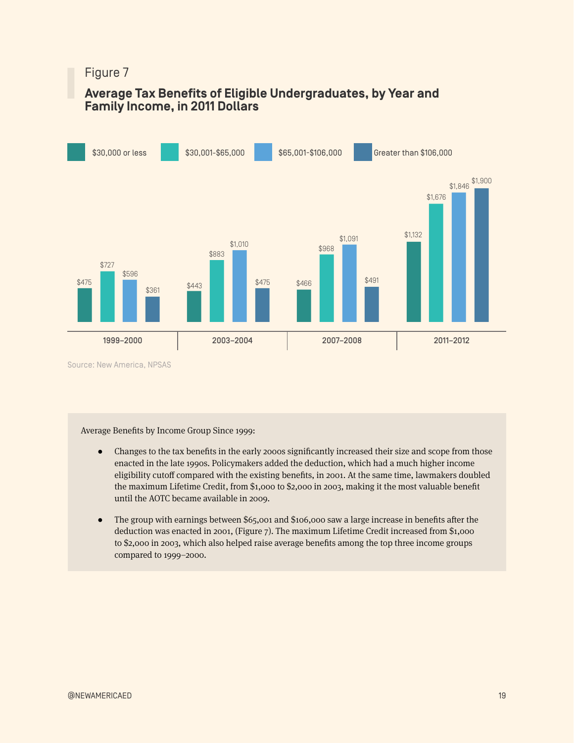# **Average Tax Benefits of Eligible Undergraduates, by Year and Family Income, in 2011 Dollars**



Average Benefits by Income Group Since 1999:

- Changes to the tax benefits in the early 2000s significantly increased their size and scope from those enacted in the late 1990s. Policymakers added the deduction, which had a much higher income eligibility cutoff compared with the existing benefits, in 2001. At the same time, lawmakers doubled the maximum Lifetime Credit, from \$1,000 to \$2,000 in 2003, making it the most valuable benefit until the AOTC became available in 2009.
- The group with earnings between \$65,001 and \$106,000 saw a large increase in benefits after the deduction was enacted in 2001, (Figure 7). The maximum Lifetime Credit increased from \$1,000 to \$2,000 in 2003, which also helped raise average benefits among the top three income groups compared to 1999–2000.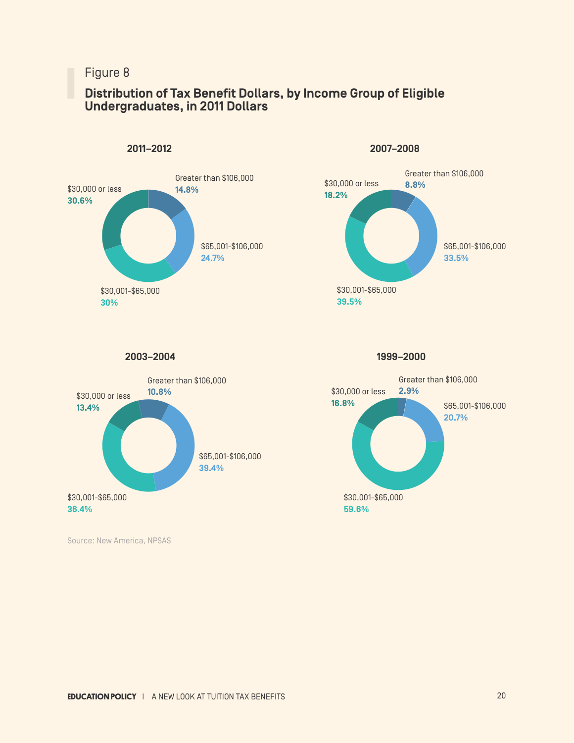# **Distribution of Tax Benefit Dollars, by Income Group of Eligible Undergraduates, in 2011 Dollars**



**2011–2012**

**2007–2008**



**2003–2004**



Source: New America, NPSAS

**1999–2000**

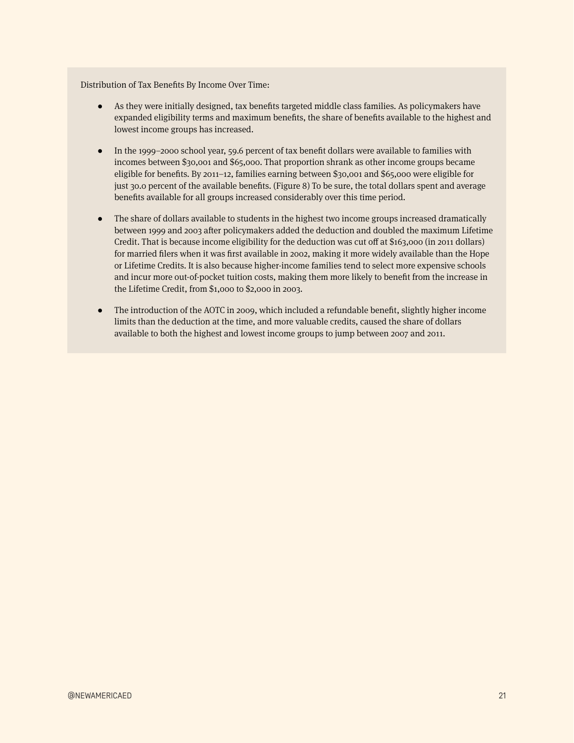Distribution of Tax Benefits By Income Over Time:

- As they were initially designed, tax benefits targeted middle class families. As policymakers have expanded eligibility terms and maximum benefits, the share of benefits available to the highest and lowest income groups has increased.
- ● In the 1999–2000 school year, 59.6 percent of tax benefit dollars were available to families with incomes between \$30,001 and \$65,000. That proportion shrank as other income groups became eligible for benefits. By 2011–12, families earning between \$30,001 and \$65,000 were eligible for just 30.0 percent of the available benefits. (Figure 8) To be sure, the total dollars spent and average benefits available for all groups increased considerably over this time period.
- The share of dollars available to students in the highest two income groups increased dramatically between 1999 and 2003 after policymakers added the deduction and doubled the maximum Lifetime Credit. That is because income eligibility for the deduction was cut off at \$163,000 (in 2011 dollars) for married filers when it was first available in 2002, making it more widely available than the Hope or Lifetime Credits. It is also because higher-income families tend to select more expensive schools and incur more out-of-pocket tuition costs, making them more likely to benefit from the increase in the Lifetime Credit, from \$1,000 to \$2,000 in 2003.
- The introduction of the AOTC in 2009, which included a refundable benefit, slightly higher income limits than the deduction at the time, and more valuable credits, caused the share of dollars available to both the highest and lowest income groups to jump between 2007 and 2011.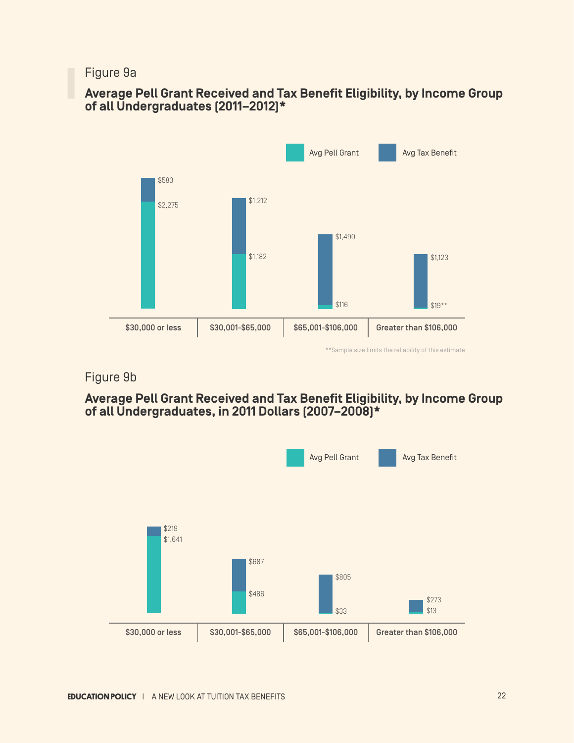# Figure 9a

# **Average Pell Grant Received and Tax Benefit Eligibility, by Income Group of all Undergraduates (2011–2012)\***



\*\*Sample size limits the reliability of this estimate

# Figure 9b

# **Average Pell Grant Received and Tax Benefit Eligibility, by Income Group of all Undergraduates, in 2011 Dollars (2007–2008)\***

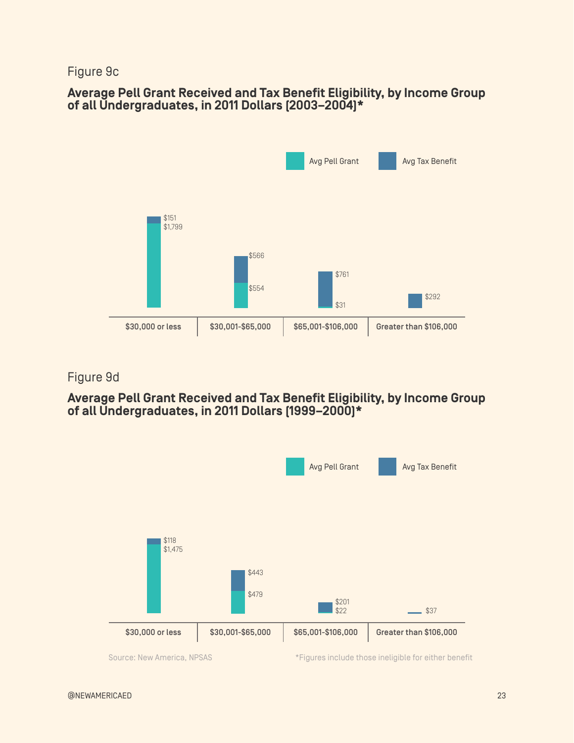# Figure 9c

# **Average Pell Grant Received and Tax Benefit Eligibility, by Income Group of all Undergraduates, in 2011 Dollars (2003–2004)\***



# Figure 9d

# **Average Pell Grant Received and Tax Benefit Eligibility, by Income Group of all Undergraduates, in 2011 Dollars (1999–2000)\***



Source: New America, NPSAS \*Figures include those ineligible for either benefit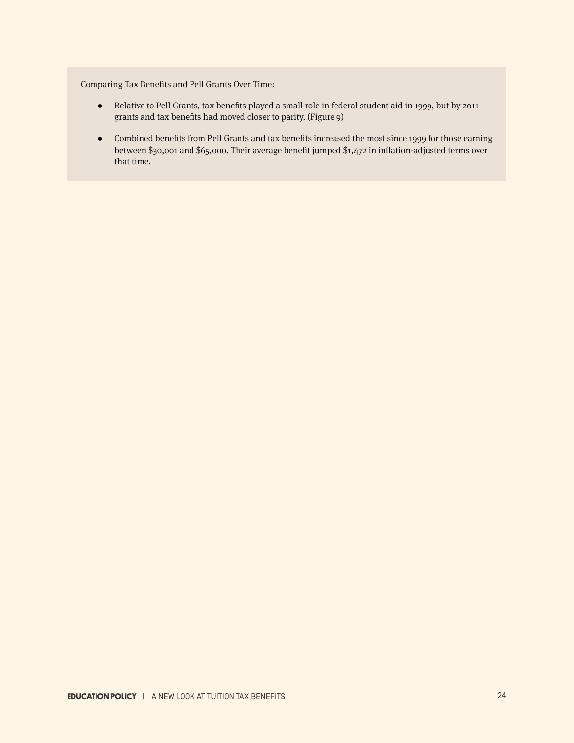Comparing Tax Benefits and Pell Grants Over Time:

- Relative to Pell Grants, tax benefits played a small role in federal student aid in 1999, but by 2011 grants and tax benefits had moved closer to parity. (Figure 9)
- ● Combined benefits from Pell Grants and tax benefits increased the most since 1999 for those earning between \$30,001 and \$65,000. Their average benefit jumped \$1,472 in inflation-adjusted terms over that time.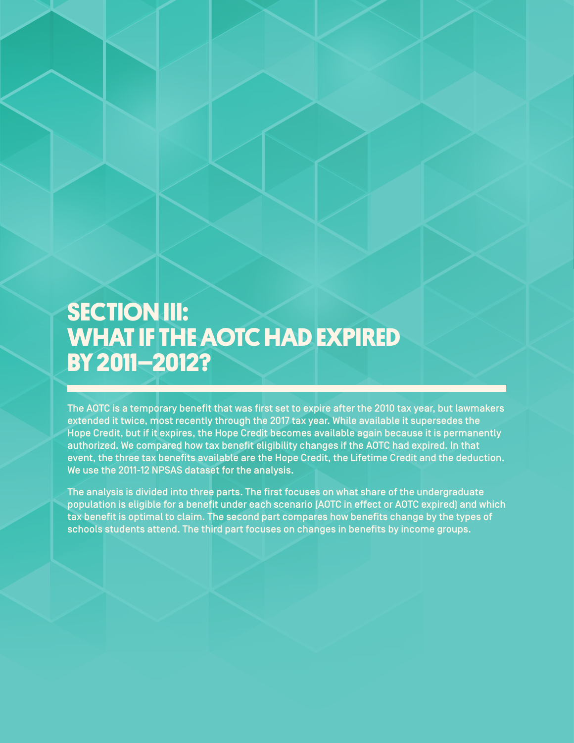# **SECTION III: WHAT IF THE AOTC HAD EXPIRED BY 2011–2012?**

The AOTC is a temporary benefit that was first set to expire after the 2010 tax year, but lawmakers extended it twice, most recently through the 2017 tax year. While available it supersedes the Hope Credit, but if it expires, the Hope Credit becomes available again because it is permanently authorized. We compared how tax benefit eligibility changes if the AOTC had expired. In that event, the three tax benefits available are the Hope Credit, the Lifetime Credit and the deduction. We use the 2011-12 NPSAS dataset for the analysis.

The analysis is divided into three parts. The first focuses on what share of the undergraduate population is eligible for a benefit under each scenario (AOTC in effect or AOTC expired) and which tax benefit is optimal to claim. The second part compares how benefits change by the types of schools students attend. The third part focuses on changes in benefits by income groups.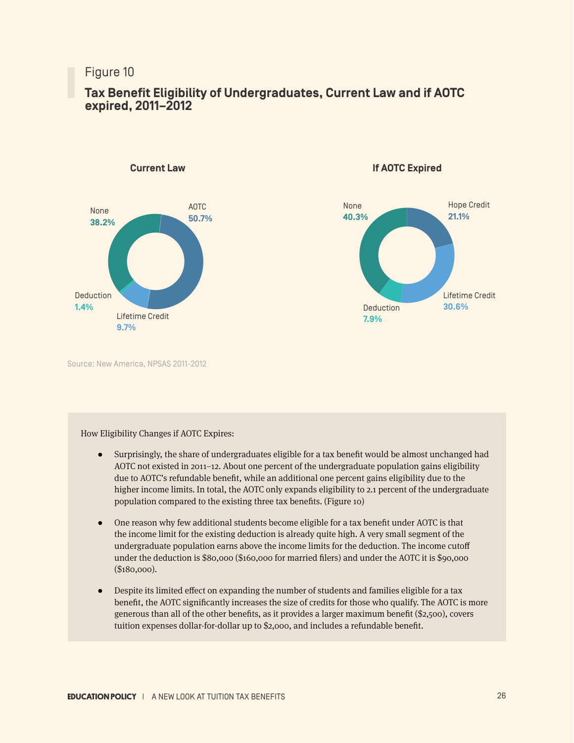# **Tax Benefit Eligibility of Undergraduates, Current Law and if AOTC expired, 2011–2012**



**Current Law**

**If AOTC Expired**



Source: New America, NPSAS 2011-2012

#### How Eligibility Changes if AOTC Expires:

- Surprisingly, the share of undergraduates eligible for a tax benefit would be almost unchanged had AOTC not existed in 2011–12. About one percent of the undergraduate population gains eligibility due to AOTC's refundable benefit, while an additional one percent gains eligibility due to the higher income limits. In total, the AOTC only expands eligibility to 2.1 percent of the undergraduate population compared to the existing three tax benefits. (Figure 10)
- One reason why few additional students become eligible for a tax benefit under AOTC is that the income limit for the existing deduction is already quite high. A very small segment of the undergraduate population earns above the income limits for the deduction. The income cutoff under the deduction is \$80,000 (\$160,000 for married filers) and under the AOTC it is \$90,000 (\$180,000).
- ● Despite its limited effect on expanding the number of students and families eligible for a tax benefit, the AOTC significantly increases the size of credits for those who qualify. The AOTC is more generous than all of the other benefits, as it provides a larger maximum benefit (\$2,500), covers tuition expenses dollar-for-dollar up to \$2,000, and includes a refundable benefit.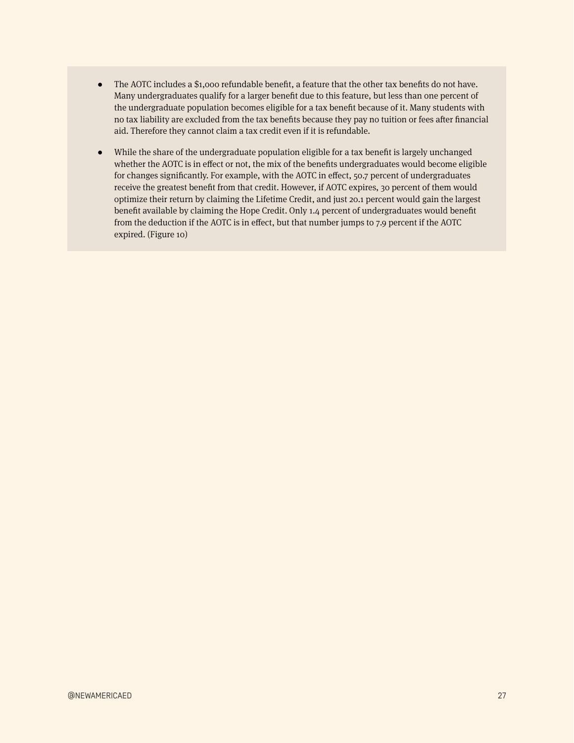- $\bullet$  The AOTC includes a \$1,000 refundable benefit, a feature that the other tax benefits do not have. Many undergraduates qualify for a larger benefit due to this feature, but less than one percent of the undergraduate population becomes eligible for a tax benefit because of it. Many students with no tax liability are excluded from the tax benefits because they pay no tuition or fees after financial aid. Therefore they cannot claim a tax credit even if it is refundable.
- ● While the share of the undergraduate population eligible for a tax benefit is largely unchanged whether the AOTC is in effect or not, the mix of the benefits undergraduates would become eligible for changes significantly. For example, with the AOTC in effect, 50.7 percent of undergraduates receive the greatest benefit from that credit. However, if AOTC expires, 30 percent of them would optimize their return by claiming the Lifetime Credit, and just 20.1 percent would gain the largest benefit available by claiming the Hope Credit. Only 1.4 percent of undergraduates would benefit from the deduction if the AOTC is in effect, but that number jumps to 7.9 percent if the AOTC expired. (Figure 10)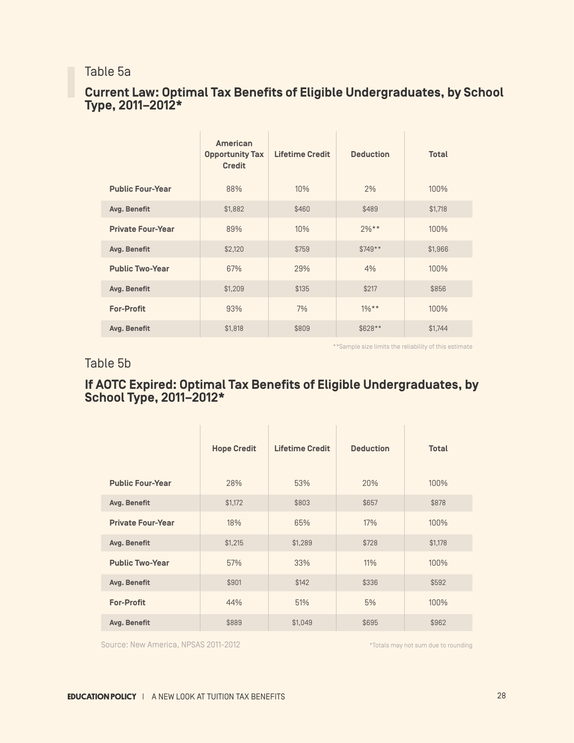# Table 5a

# **Current Law: Optimal Tax Benefits of Eligible Undergraduates, by School Type, 2011–2012\***

|                          | American<br><b>Opportunity Tax</b><br><b>Credit</b> | <b>Lifetime Credit</b> | <b>Deduction</b> | <b>Total</b> |
|--------------------------|-----------------------------------------------------|------------------------|------------------|--------------|
| <b>Public Four-Year</b>  | 88%                                                 | 10%                    | 2%               | 100%         |
| Avg. Benefit             | \$1,882                                             | \$460                  | \$489            | \$1,718      |
| <b>Private Four-Year</b> | 89%                                                 | 10%                    | $2%**$           | 100%         |
| Avg. Benefit             | \$2,120                                             | \$759                  | $$749**$         | \$1,966      |
| <b>Public Two-Year</b>   | 67%                                                 | 29%                    | 4%               | 100%         |
| Avg. Benefit             | \$1,209                                             | \$135                  | \$217            | \$856        |
| <b>For-Profit</b>        | 93%                                                 | 7%                     | $1\%**$          | 100%         |
| Avg. Benefit             | \$1,818                                             | \$809                  | \$628**          | \$1,744      |

\*\*Sample size limits the reliability of this estimate

# Table 5b

# **If AOTC Expired: Optimal Tax Benefits of Eligible Undergraduates, by School Type, 2011–2012\***

|                          | <b>Hope Credit</b> | <b>Lifetime Credit</b> | <b>Deduction</b> | <b>Total</b> |
|--------------------------|--------------------|------------------------|------------------|--------------|
| <b>Public Four-Year</b>  | 28%                | 53%                    | 20%              | 100%         |
| Avg. Benefit             | \$1,172            | \$803                  | \$657            | \$878        |
| <b>Private Four-Year</b> | 18%                | 65%                    | 17%              | 100%         |
| Avg. Benefit             | \$1,215            | \$1,289                | \$728            | \$1,178      |
| <b>Public Two-Year</b>   | 57%                | 33%                    | 11%              | 100%         |
| Avg. Benefit             | \$901              | \$142                  | \$336            | \$592        |
| <b>For-Profit</b>        | 44%                | 51%                    | 5%               | 100%         |
| Avg. Benefit             | \$889              | \$1,049                | \$695            | \$962        |

Source: New America, NPSAS 2011-2012

\*Totals may not sum due to rounding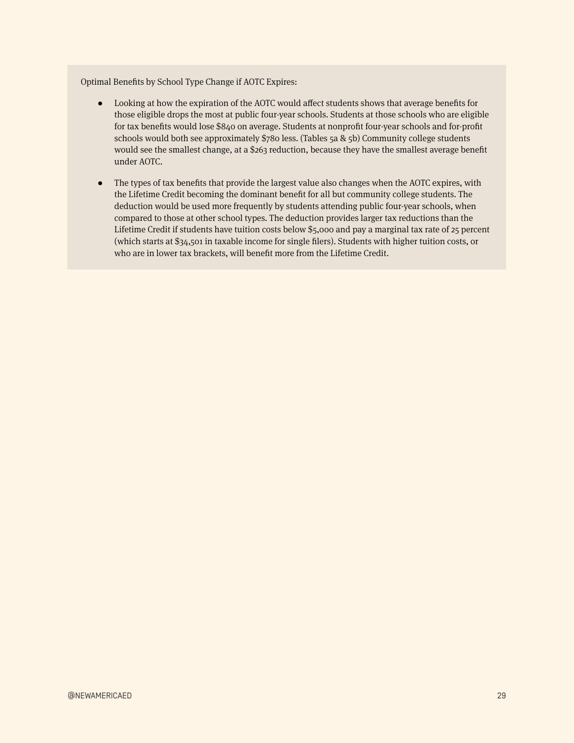Optimal Benefits by School Type Change if AOTC Expires:

- ● Looking at how the expiration of the AOTC would affect students shows that average benefits for those eligible drops the most at public four-year schools. Students at those schools who are eligible for tax benefits would lose \$840 on average. Students at nonprofit four-year schools and for-profit schools would both see approximately \$780 less. (Tables 5a & 5b) Community college students would see the smallest change, at a \$263 reduction, because they have the smallest average benefit under AOTC.
- The types of tax benefits that provide the largest value also changes when the AOTC expires, with the Lifetime Credit becoming the dominant benefit for all but community college students. The deduction would be used more frequently by students attending public four-year schools, when compared to those at other school types. The deduction provides larger tax reductions than the Lifetime Credit if students have tuition costs below \$5,000 and pay a marginal tax rate of 25 percent (which starts at \$34,501 in taxable income for single filers). Students with higher tuition costs, or who are in lower tax brackets, will benefit more from the Lifetime Credit.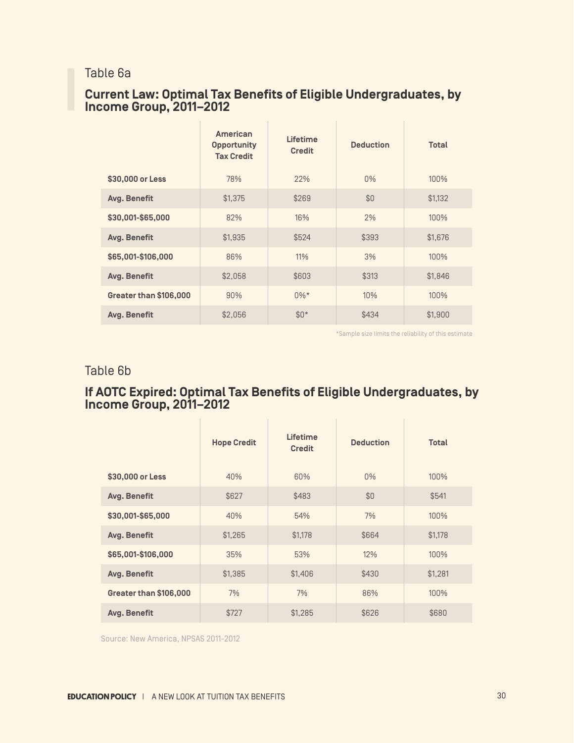# Table 6a

# **Current Law: Optimal Tax Benefits of Eligible Undergraduates, by Income Group, 2011–2012**

|                        | <b>American</b><br><b>Opportunity</b><br><b>Tax Credit</b> | Lifetime<br><b>Credit</b> | <b>Deduction</b> | <b>Total</b> |
|------------------------|------------------------------------------------------------|---------------------------|------------------|--------------|
| \$30,000 or Less       | 78%                                                        | 22%                       | $0\%$            | 100%         |
| Avg. Benefit           | \$1,375                                                    | \$269                     | \$0              | \$1,132      |
| \$30,001-\$65,000      | 82%                                                        | 16%                       | 2%               | 100%         |
| Avg. Benefit           | \$1.935                                                    | \$524                     | \$393            | \$1,676      |
| \$65,001-\$106,000     | 86%                                                        | 11%                       | 3%               | 100%         |
| Avg. Benefit           | \$2,058                                                    | \$603                     | \$313            | \$1,846      |
| Greater than \$106,000 | 90%                                                        | $0\%*$                    | 10%              | 100%         |
| Avg. Benefit           | \$2,056                                                    | $$0*$                     | \$434            | \$1,900      |

\*Sample size limits the reliability of this estimate

# Table 6b

# **If AOTC Expired: Optimal Tax Benefits of Eligible Undergraduates, by Income Group, 2011–2012**

|                        | <b>Hope Credit</b> | Lifetime<br><b>Credit</b> | <b>Deduction</b> | <b>Total</b> |
|------------------------|--------------------|---------------------------|------------------|--------------|
| \$30,000 or Less       | 40%                | 60%                       | $0\%$            | 100%         |
| Avg. Benefit           | \$627              | \$483                     | \$0              | \$541        |
| \$30,001-\$65,000      | 40%                | 54%                       | 7%               | 100%         |
| Avg. Benefit           | \$1,265            | \$1,178                   | \$664            | \$1,178      |
| \$65,001-\$106,000     | 35%                | 53%                       | 12%              | 100%         |
| Avg. Benefit           | \$1,385            | \$1,406                   | \$430            | \$1,281      |
| Greater than \$106,000 | 7%                 | 7%                        | 86%              | 100%         |
| Avg. Benefit           | \$727              | \$1,285                   | \$626            | \$680        |

Source: New America, NPSAS 2011-2012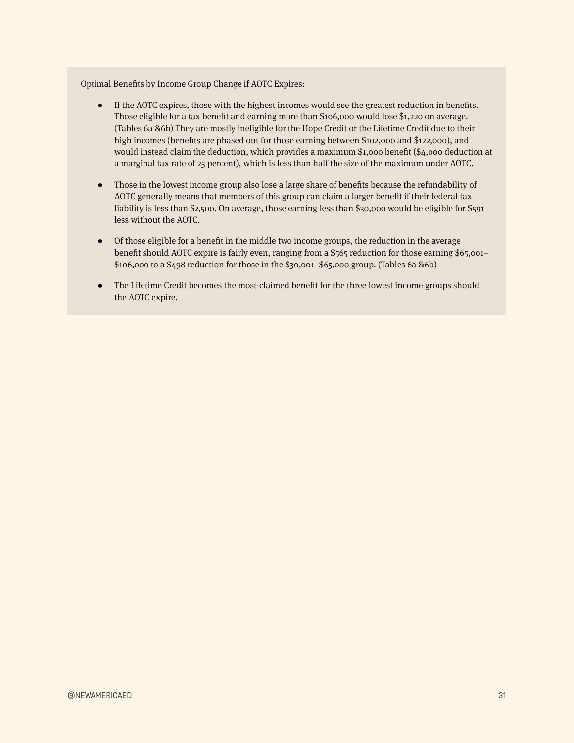Optimal Benefits by Income Group Change if AOTC Expires:

- ● If the AOTC expires, those with the highest incomes would see the greatest reduction in benefits. Those eligible for a tax benefit and earning more than \$106,000 would lose \$1,220 on average. (Tables 6a &6b) They are mostly ineligible for the Hope Credit or the Lifetime Credit due to their high incomes (benefits are phased out for those earning between \$102,000 and \$122,000), and would instead claim the deduction, which provides a maximum \$1,000 benefit (\$4,000 deduction at a marginal tax rate of 25 percent), which is less than half the size of the maximum under AOTC.
- ● Those in the lowest income group also lose a large share of benefits because the refundability of AOTC generally means that members of this group can claim a larger benefit if their federal tax liability is less than \$2,500. On average, those earning less than \$30,000 would be eligible for \$591 less without the AOTC.
- ● Of those eligible for a benefit in the middle two income groups, the reduction in the average benefit should AOTC expire is fairly even, ranging from a \$565 reduction for those earning \$65,001– \$106,000 to a \$498 reduction for those in the \$30,001–\$65,000 group. (Tables 6a &6b)
- The Lifetime Credit becomes the most-claimed benefit for the three lowest income groups should the AOTC expire.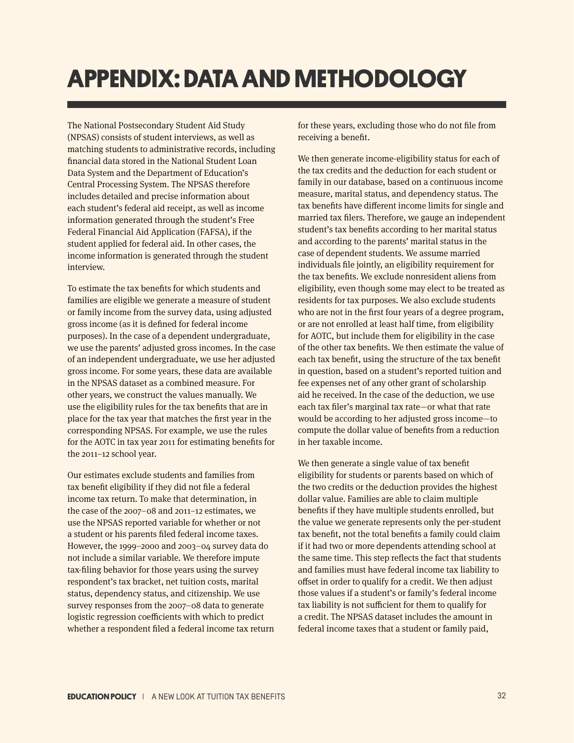# **APPENDIX: DATA AND METHODOLOGY**

The National Postsecondary Student Aid Study (NPSAS) consists of student interviews, as well as matching students to administrative records, including financial data stored in the National Student Loan Data System and the Department of Education's Central Processing System. The NPSAS therefore includes detailed and precise information about each student's federal aid receipt, as well as income information generated through the student's Free Federal Financial Aid Application (FAFSA), if the student applied for federal aid. In other cases, the income information is generated through the student interview.

To estimate the tax benefits for which students and families are eligible we generate a measure of student or family income from the survey data, using adjusted gross income (as it is defined for federal income purposes). In the case of a dependent undergraduate, we use the parents' adjusted gross incomes. In the case of an independent undergraduate, we use her adjusted gross income. For some years, these data are available in the NPSAS dataset as a combined measure. For other years, we construct the values manually. We use the eligibility rules for the tax benefits that are in place for the tax year that matches the first year in the corresponding NPSAS. For example, we use the rules for the AOTC in tax year 2011 for estimating benefits for the 2011–12 school year.

Our estimates exclude students and families from tax benefit eligibility if they did not file a federal income tax return. To make that determination, in the case of the 2007–08 and 2011–12 estimates, we use the NPSAS reported variable for whether or not a student or his parents filed federal income taxes. However, the 1999–2000 and 2003–04 survey data do not include a similar variable. We therefore impute tax-filing behavior for those years using the survey respondent's tax bracket, net tuition costs, marital status, dependency status, and citizenship. We use survey responses from the 2007–08 data to generate logistic regression coefficients with which to predict whether a respondent filed a federal income tax return for these years, excluding those who do not file from receiving a benefit.

We then generate income-eligibility status for each of the tax credits and the deduction for each student or family in our database, based on a continuous income measure, marital status, and dependency status. The tax benefits have different income limits for single and married tax filers. Therefore, we gauge an independent student's tax benefits according to her marital status and according to the parents' marital status in the case of dependent students. We assume married individuals file jointly, an eligibility requirement for the tax benefits. We exclude nonresident aliens from eligibility, even though some may elect to be treated as residents for tax purposes. We also exclude students who are not in the first four years of a degree program, or are not enrolled at least half time, from eligibility for AOTC, but include them for eligibility in the case of the other tax benefits. We then estimate the value of each tax benefit, using the structure of the tax benefit in question, based on a student's reported tuition and fee expenses net of any other grant of scholarship aid he received. In the case of the deduction, we use each tax filer's marginal tax rate—or what that rate would be according to her adjusted gross income—to compute the dollar value of benefits from a reduction in her taxable income.

We then generate a single value of tax benefit eligibility for students or parents based on which of the two credits or the deduction provides the highest dollar value. Families are able to claim multiple benefits if they have multiple students enrolled, but the value we generate represents only the per-student tax benefit, not the total benefits a family could claim if it had two or more dependents attending school at the same time. This step reflects the fact that students and families must have federal income tax liability to offset in order to qualify for a credit. We then adjust those values if a student's or family's federal income tax liability is not sufficient for them to qualify for a credit. The NPSAS dataset includes the amount in federal income taxes that a student or family paid,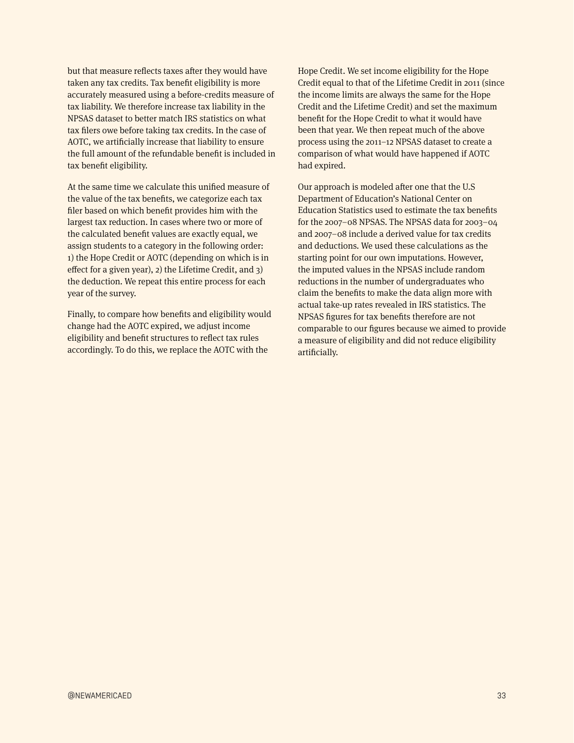but that measure reflects taxes after they would have taken any tax credits. Tax benefit eligibility is more accurately measured using a before-credits measure of tax liability. We therefore increase tax liability in the NPSAS dataset to better match IRS statistics on what tax filers owe before taking tax credits. In the case of AOTC, we artificially increase that liability to ensure the full amount of the refundable benefit is included in tax benefit eligibility.

At the same time we calculate this unified measure of the value of the tax benefits, we categorize each tax filer based on which benefit provides him with the largest tax reduction. In cases where two or more of the calculated benefit values are exactly equal, we assign students to a category in the following order: 1) the Hope Credit or AOTC (depending on which is in effect for a given year), 2) the Lifetime Credit, and 3) the deduction. We repeat this entire process for each year of the survey.

Finally, to compare how benefits and eligibility would change had the AOTC expired, we adjust income eligibility and benefit structures to reflect tax rules accordingly. To do this, we replace the AOTC with the

Hope Credit. We set income eligibility for the Hope Credit equal to that of the Lifetime Credit in 2011 (since the income limits are always the same for the Hope Credit and the Lifetime Credit) and set the maximum benefit for the Hope Credit to what it would have been that year. We then repeat much of the above process using the 2011–12 NPSAS dataset to create a comparison of what would have happened if AOTC had expired.

Our approach is modeled after one that the U.S Department of Education's National Center on Education Statistics used to estimate the tax benefits for the 2007–08 NPSAS. The NPSAS data for 2003–04 and 2007–08 include a derived value for tax credits and deductions. We used these calculations as the starting point for our own imputations. However, the imputed values in the NPSAS include random reductions in the number of undergraduates who claim the benefits to make the data align more with actual take-up rates revealed in IRS statistics. The NPSAS figures for tax benefits therefore are not comparable to our figures because we aimed to provide a measure of eligibility and did not reduce eligibility artificially.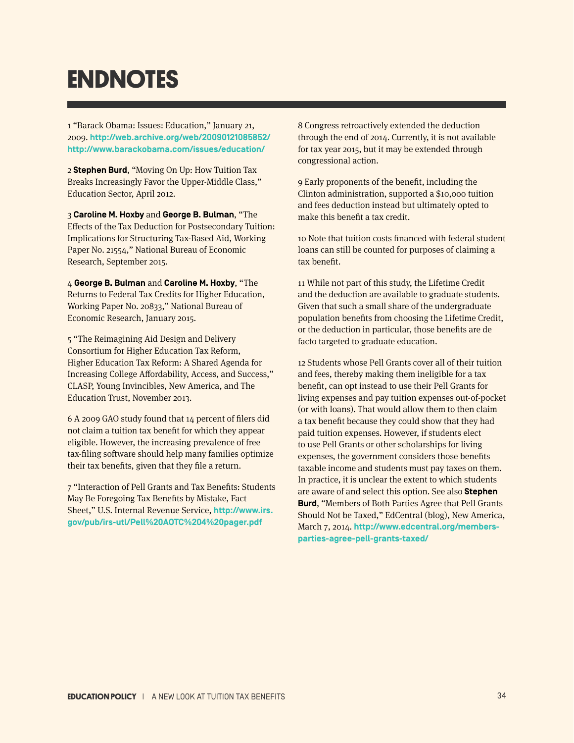# **ENDNOTES**

1 "Barack Obama: Issues: Education," January 21, 2009. **http://web.archive.org/web/20090121085852/ http://www.barackobama.com/issues/education/**

2 **Stephen Burd**, "Moving On Up: How Tuition Tax Breaks Increasingly Favor the Upper-Middle Class," Education Sector, April 2012.

3 **Caroline M. Hoxby** and **George B. Bulman**, "The Effects of the Tax Deduction for Postsecondary Tuition: Implications for Structuring Tax-Based Aid, Working Paper No. 21554," National Bureau of Economic Research, September 2015.

4 **George B. Bulman** and **Caroline M. Hoxby**, "The Returns to Federal Tax Credits for Higher Education, Working Paper No. 20833," National Bureau of Economic Research, January 2015.

5 "The Reimagining Aid Design and Delivery Consortium for Higher Education Tax Reform, Higher Education Tax Reform: A Shared Agenda for Increasing College Affordability, Access, and Success," CLASP, Young Invincibles, New America, and The Education Trust, November 2013.

6 A 2009 GAO study found that 14 percent of filers did not claim a tuition tax benefit for which they appear eligible. However, the increasing prevalence of free tax-filing software should help many families optimize their tax benefits, given that they file a return.

7 "Interaction of Pell Grants and Tax Benefits: Students May Be Foregoing Tax Benefits by Mistake, Fact Sheet," U.S. Internal Revenue Service, **http://www.irs. gov/pub/irs-utl/Pell%20AOTC%204%20pager.pdf**

8 Congress retroactively extended the deduction through the end of 2014. Currently, it is not available for tax year 2015, but it may be extended through congressional action.

9 Early proponents of the benefit, including the Clinton administration, supported a \$10,000 tuition and fees deduction instead but ultimately opted to make this benefit a tax credit.

10 Note that tuition costs financed with federal student loans can still be counted for purposes of claiming a tax benefit.

11 While not part of this study, the Lifetime Credit and the deduction are available to graduate students. Given that such a small share of the undergraduate population benefits from choosing the Lifetime Credit, or the deduction in particular, those benefits are de facto targeted to graduate education.

12 Students whose Pell Grants cover all of their tuition and fees, thereby making them ineligible for a tax benefit, can opt instead to use their Pell Grants for living expenses and pay tuition expenses out-of-pocket (or with loans). That would allow them to then claim a tax benefit because they could show that they had paid tuition expenses. However, if students elect to use Pell Grants or other scholarships for living expenses, the government considers those benefits taxable income and students must pay taxes on them. In practice, it is unclear the extent to which students are aware of and select this option. See also **Stephen Burd**, "Members of Both Parties Agree that Pell Grants Should Not be Taxed," EdCentral (blog), New America, March 7, 2014. **http://www.edcentral.org/membersparties-agree-pell-grants-taxed/**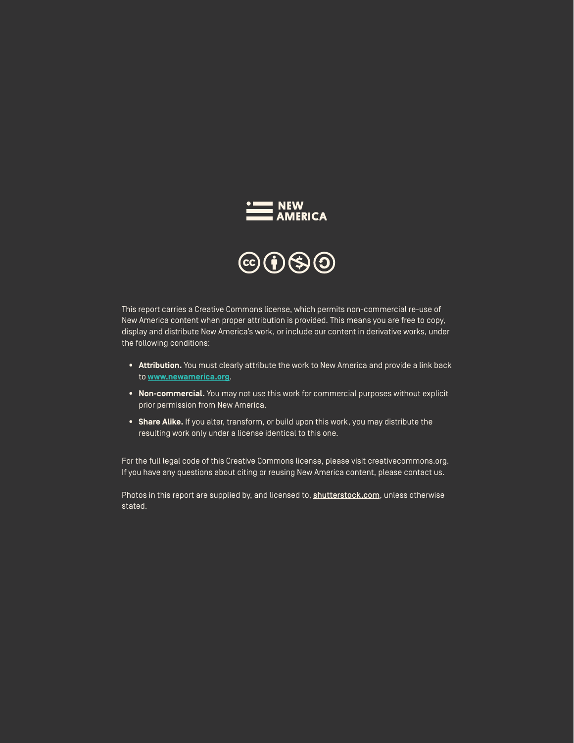

This report carries a Creative Commons license, which permits non-commercial re-use of New America content when proper attribution is provided. This means you are free to copy, display and distribute New America's work, or include our content in derivative works, under the following conditions:

- **• Attribution.** You must clearly attribute the work to New America and provide a link back to **www.newamerica.org**.
- **• Non-commercial.** You may not use this work for commercial purposes without explicit prior permission from New America.
- **• Share Alike.** If you alter, transform, or build upon this work, you may distribute the resulting work only under a license identical to this one.

For the full legal code of this Creative Commons license, please visit creativecommons.org. If you have any questions about citing or reusing New America content, please contact us.

Photos in this report are supplied by, and licensed to, shutterstock.com, unless otherwise stated.